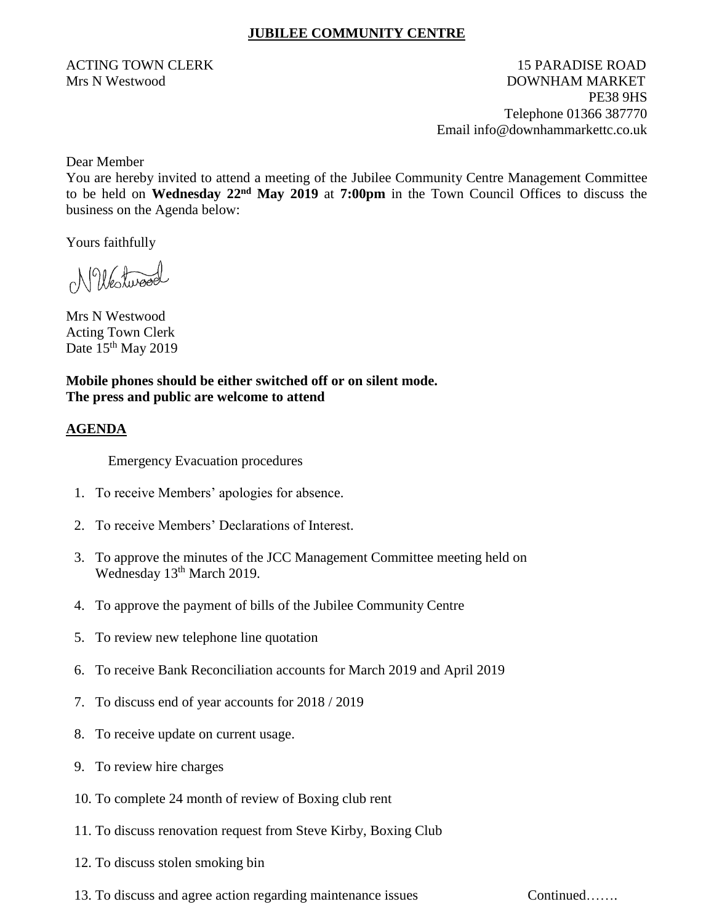## **JUBILEE COMMUNITY CENTRE**

ACTING TOWN CLERK 15 PARADISE ROAD Mrs N Westwood DOWNHAM MARKET PE38 9HS Telephone 01366 387770 Email info@downhammarkettc.co.uk

Dear Member

You are hereby invited to attend a meeting of the Jubilee Community Centre Management Committee to be held on **Wednesday 22nd May 2019** at **7:00pm** in the Town Council Offices to discuss the business on the Agenda below:

Yours faithfully

NWestwood

Mrs N Westwood Acting Town Clerk Date 15<sup>th</sup> May 2019

**Mobile phones should be either switched off or on silent mode. The press and public are welcome to attend**

## **AGENDA**

Emergency Evacuation procedures

- 1. To receive Members' apologies for absence.
- 2. To receive Members' Declarations of Interest.
- 3. To approve the minutes of the JCC Management Committee meeting held on Wednesday 13<sup>th</sup> March 2019.
- 4. To approve the payment of bills of the Jubilee Community Centre
- 5. To review new telephone line quotation
- 6. To receive Bank Reconciliation accounts for March 2019 and April 2019
- 7. To discuss end of year accounts for 2018 / 2019
- 8. To receive update on current usage.
- 9. To review hire charges
- 10. To complete 24 month of review of Boxing club rent
- 11. To discuss renovation request from Steve Kirby, Boxing Club
- 12. To discuss stolen smoking bin
- 13. To discuss and agree action regarding maintenance issues Continued…….